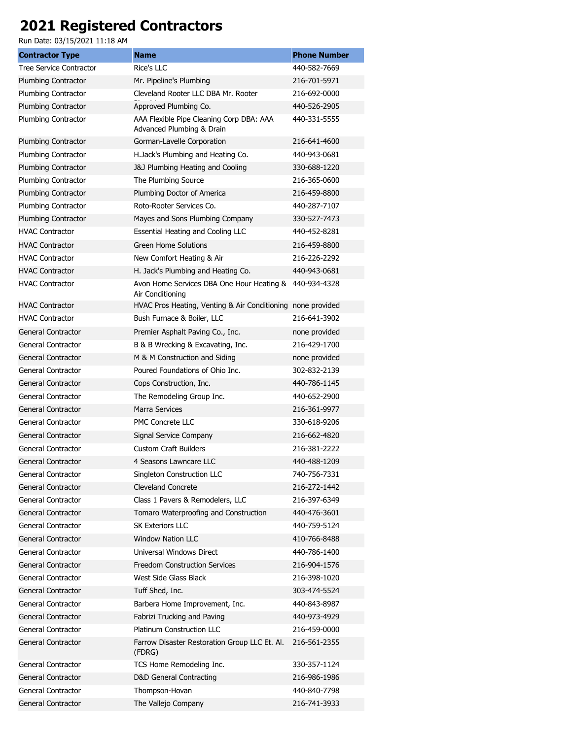## **2021 Registered Contractors**

Run Date: 03/15/2021 11:18 AM

| <b>Contractor Type</b>         | <b>Name</b>                                                           | <b>Phone Number</b> |
|--------------------------------|-----------------------------------------------------------------------|---------------------|
| <b>Tree Service Contractor</b> | Rice's LLC                                                            | 440-582-7669        |
| Plumbing Contractor            | Mr. Pipeline's Plumbing                                               | 216-701-5971        |
| Plumbing Contractor            | Cleveland Rooter LLC DBA Mr. Rooter                                   | 216-692-0000        |
| Plumbing Contractor            | Approved Plumbing Co.                                                 | 440-526-2905        |
| Plumbing Contractor            | AAA Flexible Pipe Cleaning Corp DBA: AAA<br>Advanced Plumbing & Drain | 440-331-5555        |
| Plumbing Contractor            | Gorman-Lavelle Corporation                                            | 216-641-4600        |
| Plumbing Contractor            | H.Jack's Plumbing and Heating Co.                                     | 440-943-0681        |
| Plumbing Contractor            | <b>J&amp;J Plumbing Heating and Cooling</b>                           | 330-688-1220        |
| Plumbing Contractor            | The Plumbing Source                                                   | 216-365-0600        |
| Plumbing Contractor            | Plumbing Doctor of America                                            | 216-459-8800        |
| Plumbing Contractor            | Roto-Rooter Services Co.                                              | 440-287-7107        |
| Plumbing Contractor            | Mayes and Sons Plumbing Company                                       | 330-527-7473        |
| <b>HVAC Contractor</b>         | Essential Heating and Cooling LLC                                     | 440-452-8281        |
| <b>HVAC Contractor</b>         | <b>Green Home Solutions</b>                                           | 216-459-8800        |
| <b>HVAC Contractor</b>         | New Comfort Heating & Air                                             | 216-226-2292        |
| <b>HVAC Contractor</b>         | H. Jack's Plumbing and Heating Co.                                    | 440-943-0681        |
| <b>HVAC Contractor</b>         | Avon Home Services DBA One Hour Heating &<br>Air Conditioning         | 440-934-4328        |
| <b>HVAC Contractor</b>         | HVAC Pros Heating, Venting & Air Conditioning none provided           |                     |
| <b>HVAC Contractor</b>         | Bush Furnace & Boiler, LLC                                            | 216-641-3902        |
| General Contractor             | Premier Asphalt Paving Co., Inc.                                      | none provided       |
| General Contractor             | B & B Wrecking & Excavating, Inc.                                     | 216-429-1700        |
| General Contractor             | M & M Construction and Siding                                         | none provided       |
| General Contractor             | Poured Foundations of Ohio Inc.                                       | 302-832-2139        |
| General Contractor             | Cops Construction, Inc.                                               | 440-786-1145        |
| General Contractor             | The Remodeling Group Inc.                                             | 440-652-2900        |
| General Contractor             | <b>Marra Services</b>                                                 | 216-361-9977        |
| General Contractor             | PMC Concrete LLC                                                      | 330-618-9206        |
| General Contractor             | Signal Service Company                                                | 216-662-4820        |
| General Contractor             | <b>Custom Craft Builders</b>                                          | 216-381-2222        |
| General Contractor             | 4 Seasons Lawncare LLC                                                | 440-488-1209        |
| <b>General Contractor</b>      | Singleton Construction LLC                                            | 740-756-7331        |
| General Contractor             | <b>Cleveland Concrete</b>                                             | 216-272-1442        |
| General Contractor             | Class 1 Pavers & Remodelers, LLC                                      | 216-397-6349        |
| <b>General Contractor</b>      | Tomaro Waterproofing and Construction                                 | 440-476-3601        |
| <b>General Contractor</b>      | <b>SK Exteriors LLC</b>                                               | 440-759-5124        |
| General Contractor             | <b>Window Nation LLC</b>                                              | 410-766-8488        |
| <b>General Contractor</b>      | Universal Windows Direct                                              | 440-786-1400        |
| <b>General Contractor</b>      | <b>Freedom Construction Services</b>                                  | 216-904-1576        |
| General Contractor             | West Side Glass Black                                                 | 216-398-1020        |
| General Contractor             | Tuff Shed, Inc.                                                       | 303-474-5524        |
| General Contractor             | Barbera Home Improvement, Inc.                                        | 440-843-8987        |
| General Contractor             | Fabrizi Trucking and Paving                                           | 440-973-4929        |
| General Contractor             | Platinum Construction LLC                                             | 216-459-0000        |
| General Contractor             | Farrow Disaster Restoration Group LLC Et. Al.<br>(FDRG)               | 216-561-2355        |
| General Contractor             | TCS Home Remodeling Inc.                                              | 330-357-1124        |
| General Contractor             | D&D General Contracting                                               | 216-986-1986        |
| General Contractor             | Thompson-Hovan                                                        | 440-840-7798        |
| General Contractor             | The Vallejo Company                                                   | 216-741-3933        |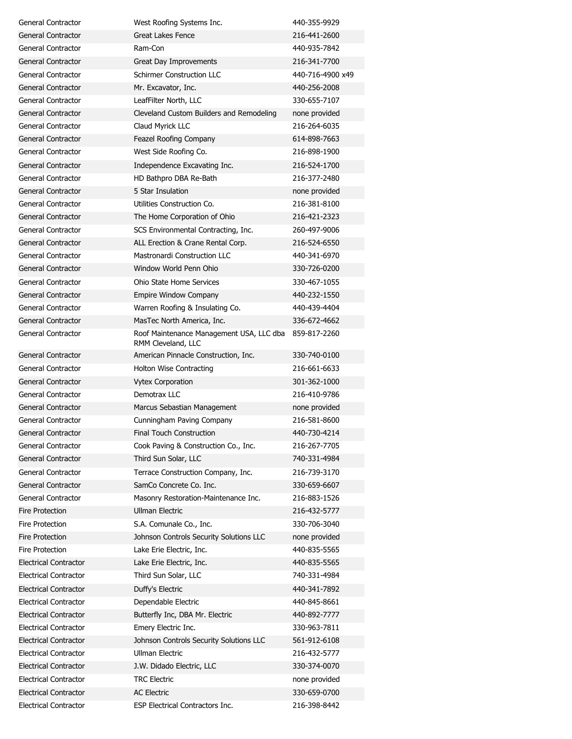| General Contractor           | West Roofing Systems Inc.                | 440-355-9929     |
|------------------------------|------------------------------------------|------------------|
| General Contractor           | Great Lakes Fence                        | 216-441-2600     |
| General Contractor           | Ram-Con                                  | 440-935-7842     |
| General Contractor           | Great Day Improvements                   | 216-341-7700     |
| General Contractor           | <b>Schirmer Construction LLC</b>         | 440-716-4900 x49 |
| General Contractor           | Mr. Excavator, Inc.                      | 440-256-2008     |
| General Contractor           | LeafFilter North, LLC                    | 330-655-7107     |
| General Contractor           | Cleveland Custom Builders and Remodeling | none provided    |
| General Contractor           | Claud Myrick LLC                         | 216-264-6035     |
| General Contractor           | Feazel Roofing Company                   | 614-898-7663     |
| General Contractor           | West Side Roofing Co.                    | 216-898-1900     |
| <b>General Contractor</b>    | Independence Excavating Inc.             | 216-524-1700     |
| General Contractor           | HD Bathpro DBA Re-Bath                   | 216-377-2480     |
| General Contractor           | 5 Star Insulation                        | none provided    |
| General Contractor           | Utilities Construction Co.               | 216-381-8100     |
| General Contractor           | The Home Corporation of Ohio             | 216-421-2323     |
| General Contractor           | SCS Environmental Contracting, Inc.      | 260-497-9006     |
| General Contractor           | ALL Erection & Crane Rental Corp.        | 216-524-6550     |
| General Contractor           | Mastronardi Construction LLC             | 440-341-6970     |
| General Contractor           | Window World Penn Ohio                   | 330-726-0200     |
| General Contractor           | Ohio State Home Services                 | 330-467-1055     |
| <b>General Contractor</b>    | Empire Window Company                    | 440-232-1550     |
| General Contractor           | Warren Roofing & Insulating Co.          | 440-439-4404     |
| General Contractor           | MasTec North America, Inc.               | 336-672-4662     |
| General Contractor           | Roof Maintenance Management USA, LLC dba | 859-817-2260     |
|                              | RMM Cleveland, LLC                       |                  |
| General Contractor           | American Pinnacle Construction, Inc.     | 330-740-0100     |
| General Contractor           | <b>Holton Wise Contracting</b>           | 216-661-6633     |
| General Contractor           | <b>Vytex Corporation</b>                 | 301-362-1000     |
| General Contractor           | Demotrax LLC                             | 216-410-9786     |
| General Contractor           | Marcus Sebastian Management              | none provided    |
| General Contractor           | Cunningham Paving Company                | 216-581-8600     |
| <b>General Contractor</b>    | Final Touch Construction                 | 440-730-4214     |
| General Contractor           | Cook Paving & Construction Co., Inc.     | 216-267-7705     |
| General Contractor           | Third Sun Solar, LLC                     | 740-331-4984     |
| General Contractor           | Terrace Construction Company, Inc.       | 216-739-3170     |
| General Contractor           | SamCo Concrete Co. Inc.                  | 330-659-6607     |
| General Contractor           | Masonry Restoration-Maintenance Inc.     | 216-883-1526     |
| Fire Protection              | <b>Ullman Electric</b>                   | 216-432-5777     |
| Fire Protection              | S.A. Comunale Co., Inc.                  | 330-706-3040     |
| <b>Fire Protection</b>       | Johnson Controls Security Solutions LLC  | none provided    |
| <b>Fire Protection</b>       | Lake Erie Electric, Inc.                 | 440-835-5565     |
| <b>Electrical Contractor</b> | Lake Erie Electric, Inc.                 | 440-835-5565     |
| <b>Electrical Contractor</b> | Third Sun Solar, LLC                     | 740-331-4984     |
| <b>Electrical Contractor</b> | Duffy's Electric                         | 440-341-7892     |
| <b>Electrical Contractor</b> | Dependable Electric                      | 440-845-8661     |
| <b>Electrical Contractor</b> | Butterfly Inc, DBA Mr. Electric          | 440-892-7777     |
| <b>Electrical Contractor</b> | Emery Electric Inc.                      | 330-963-7811     |
| <b>Electrical Contractor</b> | Johnson Controls Security Solutions LLC  | 561-912-6108     |
| <b>Electrical Contractor</b> | <b>Ullman Electric</b>                   | 216-432-5777     |
| <b>Electrical Contractor</b> | J.W. Didado Electric, LLC                | 330-374-0070     |
| <b>Electrical Contractor</b> | <b>TRC Electric</b>                      | none provided    |
| <b>Electrical Contractor</b> | <b>AC Electric</b>                       | 330-659-0700     |
| <b>Electrical Contractor</b> | ESP Electrical Contractors Inc.          | 216-398-8442     |